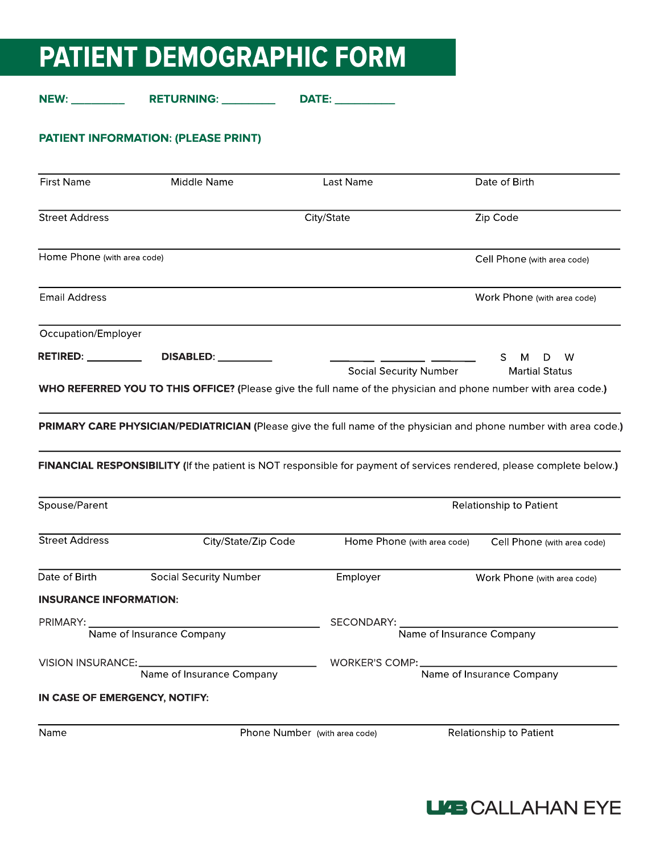# PATIENT DEMOGRAPHIC FORM

NEW: \_\_\_\_\_\_\_\_\_\_\_\_\_\_\_\_ RETURNING: \_\_\_\_\_\_\_\_\_\_\_\_\_\_ DATE: \_\_\_\_\_\_\_\_\_\_\_

## PATIENT INFORMATION: (PLEASE PRINT)

| <b>First Name</b>                      | Middle Name                                                                                                                                                                                                                                | Last Name                     | Date of Birth                              |
|----------------------------------------|--------------------------------------------------------------------------------------------------------------------------------------------------------------------------------------------------------------------------------------------|-------------------------------|--------------------------------------------|
| <b>Street Address</b>                  |                                                                                                                                                                                                                                            | City/State                    | Zip Code                                   |
| Home Phone (with area code)            |                                                                                                                                                                                                                                            |                               | Cell Phone (with area code)                |
| <b>Email Address</b>                   |                                                                                                                                                                                                                                            |                               | Work Phone (with area code)                |
| Occupation/Employer                    |                                                                                                                                                                                                                                            |                               |                                            |
| <b>RETIRED:</b> ___________            | DISABLED: __________                                                                                                                                                                                                                       | <b>Social Security Number</b> | S.<br>w<br>м<br>D<br><b>Martial Status</b> |
|                                        | WHO REFERRED YOU TO THIS OFFICE? (Please give the full name of the physician and phone number with area code.)                                                                                                                             |                               |                                            |
|                                        |                                                                                                                                                                                                                                            |                               |                                            |
|                                        | PRIMARY CARE PHYSICIAN/PEDIATRICIAN (Please give the full name of the physician and phone number with area code.)<br>FINANCIAL RESPONSIBILITY (If the patient is NOT responsible for payment of services rendered, please complete below.) |                               |                                            |
|                                        |                                                                                                                                                                                                                                            |                               | Relationship to Patient                    |
| Spouse/Parent<br><b>Street Address</b> | City/State/Zip Code                                                                                                                                                                                                                        | Home Phone (with area code)   | Cell Phone (with area code)                |
|                                        | <b>Social Security Number</b>                                                                                                                                                                                                              | Employer                      | Work Phone (with area code)                |
| <b>INSURANCE INFORMATION:</b>          |                                                                                                                                                                                                                                            |                               |                                            |
| PRIMARY:                               |                                                                                                                                                                                                                                            | SECONDARY:                    |                                            |
|                                        | Name of Insurance Company                                                                                                                                                                                                                  | Name of Insurance Company     |                                            |
| Date of Birth<br>VISION INSURANCE:     |                                                                                                                                                                                                                                            | WORKER'S COMP:                |                                            |
| IN CASE OF EMERGENCY, NOTIFY:          | Name of Insurance Company                                                                                                                                                                                                                  |                               | Name of Insurance Company                  |